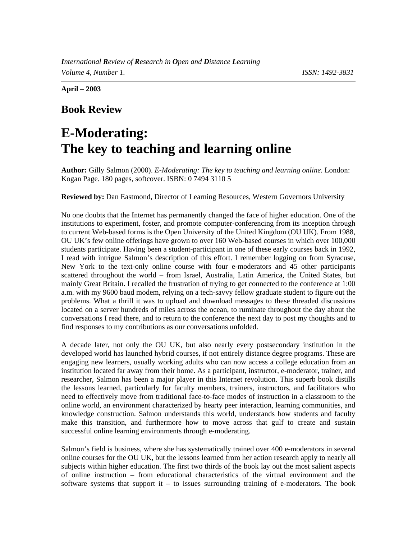**April – 2003** 

## **Book Review**

## **E-Moderating: The key to teaching and learning online**

**Author:** Gilly Salmon (2000). *E-Moderating: The key to teaching and learning online.* London: Kogan Page. 180 pages, softcover. ISBN: 0 7494 3110 5

**Reviewed by:** Dan Eastmond, Director of Learning Resources, Western Governors University

No one doubts that the Internet has permanently changed the face of higher education. One of the institutions to experiment, foster, and promote computer-conferencing from its inception through to current Web-based forms is the Open University of the United Kingdom (OU UK). From 1988, OU UK's few online offerings have grown to over 160 Web-based courses in which over 100,000 students participate. Having been a student-participant in one of these early courses back in 1992, I read with intrigue Salmon's description of this effort. I remember logging on from Syracuse, New York to the text-only online course with four e-moderators and 45 other participants scattered throughout the world – from Israel, Australia, Latin America, the United States, but mainly Great Britain. I recalled the frustration of trying to get connected to the conference at 1:00 a.m. with my 9600 baud modem, relying on a tech-savvy fellow graduate student to figure out the problems. What a thrill it was to upload and download messages to these threaded discussions located on a server hundreds of miles across the ocean, to ruminate throughout the day about the conversations I read there, and to return to the conference the next day to post my thoughts and to find responses to my contributions as our conversations unfolded.

A decade later, not only the OU UK, but also nearly every postsecondary institution in the developed world has launched hybrid courses, if not entirely distance degree programs. These are engaging new learners, usually working adults who can now access a college education from an institution located far away from their home. As a participant, instructor, e-moderator, trainer, and researcher, Salmon has been a major player in this Internet revolution. This superb book distills the lessons learned, particularly for faculty members, trainers, instructors, and facilitators who need to effectively move from traditional face-to-face modes of instruction in a classroom to the online world, an environment characterized by hearty peer interaction, learning communities, and knowledge construction. Salmon understands this world, understands how students and faculty make this transition, and furthermore how to move across that gulf to create and sustain successful online learning environments through e-moderating.

Salmon's field is business, where she has systematically trained over 400 e-moderators in several online courses for the OU UK, but the lessons learned from her action research apply to nearly all subjects within higher education. The first two thirds of the book lay out the most salient aspects of online instruction – from educational characteristics of the virtual environment and the software systems that support it  $-$  to issues surrounding training of e-moderators. The book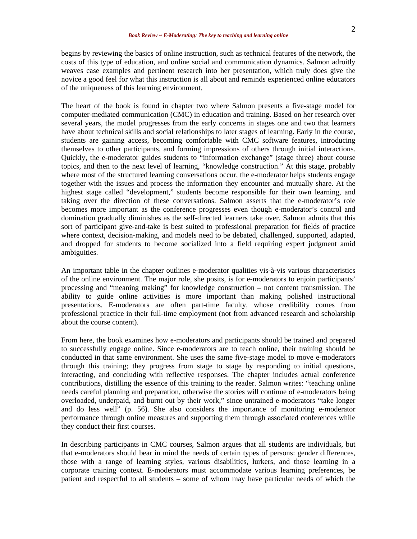begins by reviewing the basics of online instruction, such as technical features of the network, the costs of this type of education, and online social and communication dynamics. Salmon adroitly weaves case examples and pertinent research into her presentation, which truly does give the novice a good feel for what this instruction is all about and reminds experienced online educators of the uniqueness of this learning environment.

The heart of the book is found in chapter two where Salmon presents a five-stage model for computer-mediated communication (CMC) in education and training. Based on her research over several years, the model progresses from the early concerns in stages one and two that learners have about technical skills and social relationships to later stages of learning. Early in the course, students are gaining access, becoming comfortable with CMC software features, introducing themselves to other participants, and forming impressions of others through initial interactions. Quickly, the e-moderator guides students to "information exchange" (stage three) about course topics, and then to the next level of learning, "knowledge construction." At this stage, probably where most of the structured learning conversations occur, the e-moderator helps students engage together with the issues and process the information they encounter and mutually share. At the highest stage called "development," students become responsible for their own learning, and taking over the direction of these conversations. Salmon asserts that the e-moderator's role becomes more important as the conference progresses even though e-moderator's control and domination gradually diminishes as the self-directed learners take over. Salmon admits that this sort of participant give-and-take is best suited to professional preparation for fields of practice where context, decision-making, and models need to be debated, challenged, supported, adapted, and dropped for students to become socialized into a field requiring expert judgment amid ambiguities.

An important table in the chapter outlines e-moderator qualities vis-à-vis various characteristics of the online environment. The major role, she posits, is for e-moderators to enjoin participants' processing and "meaning making" for knowledge construction – not content transmission. The ability to guide online activities is more important than making polished instructional presentations. E-moderators are often part-time faculty, whose credibility comes from professional practice in their full-time employment (not from advanced research and scholarship about the course content).

From here, the book examines how e-moderators and participants should be trained and prepared to successfully engage online. Since e-moderators are to teach online, their training should be conducted in that same environment. She uses the same five-stage model to move e-moderators through this training; they progress from stage to stage by responding to initial questions, interacting, and concluding with reflective responses. The chapter includes actual conference contributions, distilling the essence of this training to the reader. Salmon writes: "teaching online needs careful planning and preparation, otherwise the stories will continue of e-moderators being overloaded, underpaid, and burnt out by their work," since untrained e-moderators "take longer and do less well" (p. 56). She also considers the importance of monitoring e-moderator performance through online measures and supporting them through associated conferences while they conduct their first courses.

In describing participants in CMC courses, Salmon argues that all students are individuals, but that e-moderators should bear in mind the needs of certain types of persons: gender differences, those with a range of learning styles, various disabilities, lurkers, and those learning in a corporate training context. E-moderators must accommodate various learning preferences, be patient and respectful to all students – some of whom may have particular needs of which the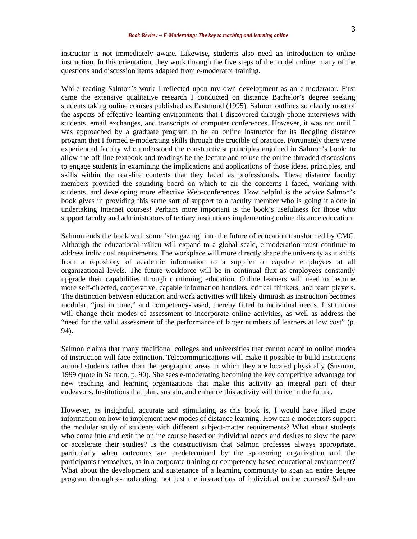instructor is not immediately aware. Likewise, students also need an introduction to online instruction. In this orientation, they work through the five steps of the model online; many of the questions and discussion items adapted from e-moderator training.

While reading Salmon's work I reflected upon my own development as an e-moderator. First came the extensive qualitative research I conducted on distance Bachelor's degree seeking students taking online courses published as Eastmond (1995). Salmon outlines so clearly most of the aspects of effective learning environments that I discovered through phone interviews with students, email exchanges, and transcripts of computer conferences. However, it was not until I was approached by a graduate program to be an online instructor for its fledgling distance program that I formed e-moderating skills through the crucible of practice. Fortunately there were experienced faculty who understood the constructivist principles enjoined in Salmon's book: to allow the off-line textbook and readings be the lecture and to use the online threaded discussions to engage students in examining the implications and applications of those ideas, principles, and skills within the real-life contexts that they faced as professionals. These distance faculty members provided the sounding board on which to air the concerns I faced, working with students, and developing more effective Web-conferences. How helpful is the advice Salmon's book gives in providing this same sort of support to a faculty member who is going it alone in undertaking Internet courses! Perhaps more important is the book's usefulness for those who support faculty and administrators of tertiary institutions implementing online distance education.

Salmon ends the book with some 'star gazing' into the future of education transformed by CMC. Although the educational milieu will expand to a global scale, e-moderation must continue to address individual requirements. The workplace will more directly shape the university as it shifts from a repository of academic information to a supplier of capable employees at all organizational levels. The future workforce will be in continual flux as employees constantly upgrade their capabilities through continuing education. Online learners will need to become more self-directed, cooperative, capable information handlers, critical thinkers, and team players. The distinction between education and work activities will likely diminish as instruction becomes modular, "just in time," and competency-based, thereby fitted to individual needs. Institutions will change their modes of assessment to incorporate online activities, as well as address the "need for the valid assessment of the performance of larger numbers of learners at low cost" (p. 94).

Salmon claims that many traditional colleges and universities that cannot adapt to online modes of instruction will face extinction. Telecommunications will make it possible to build institutions around students rather than the geographic areas in which they are located physically (Susman, 1999 quote in Salmon, p. 90). She sees e-moderating becoming the key competitive advantage for new teaching and learning organizations that make this activity an integral part of their endeavors. Institutions that plan, sustain, and enhance this activity will thrive in the future.

However, as insightful, accurate and stimulating as this book is, I would have liked more information on how to implement new modes of distance learning. How can e-moderators support the modular study of students with different subject-matter requirements? What about students who come into and exit the online course based on individual needs and desires to slow the pace or accelerate their studies? Is the constructivism that Salmon professes always appropriate, particularly when outcomes are predetermined by the sponsoring organization and the participants themselves, as in a corporate training or competency-based educational environment? What about the development and sustenance of a learning community to span an entire degree program through e-moderating, not just the interactions of individual online courses? Salmon